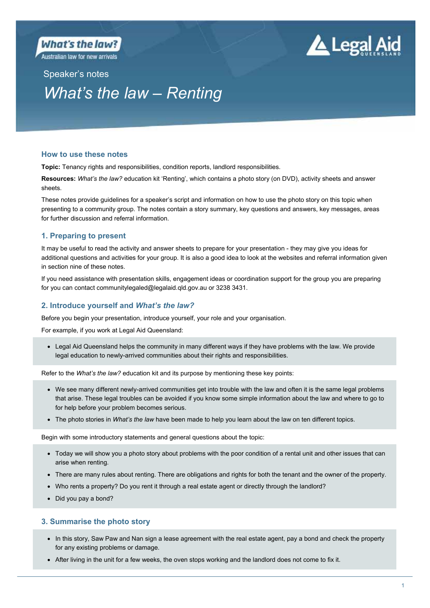

Australian law for new arrivals



# Speaker's notes *What's the law – Renting*

# **How to use these notes**

**Topic:** Tenancy rights and responsibilities, condition reports, landlord responsibilities.

**Resources:** *What's the law?* education kit 'Renting', which contains a photo story (on DVD), activity sheets and answer sheets.

These notes provide guidelines for a speaker's script and information on how to use the photo story on this topic when presenting to a community group. The notes contain a story summary, key questions and answers, key messages, areas for further discussion and referral information.

# **1. Preparing to present**

It may be useful to read the activity and answer sheets to prepare for your presentation - they may give you ideas for additional questions and activities for your group. It is also a good idea to look at the websites and referral information given in section nine of these notes.

If you need assistance with presentation skills, engagement ideas or coordination support for the group you are preparing for you can contact communitylegaled@legalaid.qld.gov.au or 3238 3431.

# **2. Introduce yourself and** *What's the law?*

Before you begin your presentation, introduce yourself, your role and your organisation.

For example, if you work at Legal Aid Queensland:

 Legal Aid Queensland helps the community in many different ways if they have problems with the law. We provide legal education to newly-arrived communities about their rights and responsibilities.

Refer to the *What's the law?* education kit and its purpose by mentioning these key points:

- We see many different newly-arrived communities get into trouble with the law and often it is the same legal problems that arise. These legal troubles can be avoided if you know some simple information about the law and where to go to for help before your problem becomes serious.
- The photo stories in *What's the law* have been made to help you learn about the law on ten different topics.

Begin with some introductory statements and general questions about the topic:

- Today we will show you a photo story about problems with the poor condition of a rental unit and other issues that can arise when renting.
- There are many rules about renting. There are obligations and rights for both the tenant and the owner of the property.
- Who rents a property? Do you rent it through a real estate agent or directly through the landlord?
- Did you pay a bond?

# **3. Summarise the photo story**

- In this story, Saw Paw and Nan sign a lease agreement with the real estate agent, pay a bond and check the property for any existing problems or damage.
- After living in the unit for a few weeks, the oven stops working and the landlord does not come to fix it.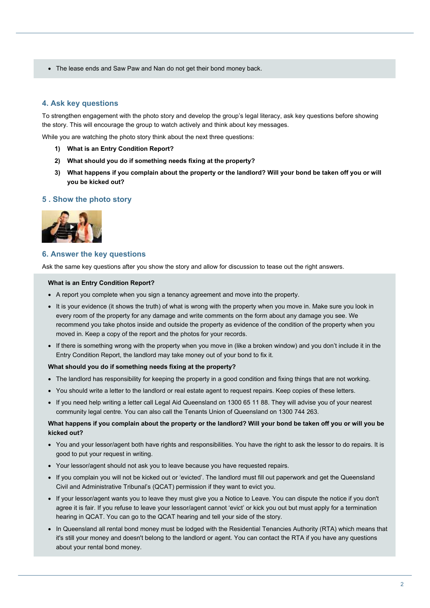The lease ends and Saw Paw and Nan do not get their bond money back.

# **4. Ask key questions**

To strengthen engagement with the photo story and develop the group's legal literacy, ask key questions before showing the story. This will encourage the group to watch actively and think about key messages.

While you are watching the photo story think about the next three questions:

- **1) What is an Entry Condition Report?**
- **2) What should you do if something needs fixing at the property?**
- **3) What happens if you complain about the property or the landlord? Will your bond be taken off you or will you be kicked out?**

#### **5 . Show the photo story**



#### **6. Answer the key questions**

Ask the same key questions after you show the story and allow for discussion to tease out the right answers.

#### **What is an Entry Condition Report?**

- A report you complete when you sign a tenancy agreement and move into the property.
- It is your evidence (it shows the truth) of what is wrong with the property when you move in. Make sure you look in every room of the property for any damage and write comments on the form about any damage you see. We recommend you take photos inside and outside the property as evidence of the condition of the property when you moved in. Keep a copy of the report and the photos for your records.
- If there is something wrong with the property when you move in (like a broken window) and you don't include it in the Entry Condition Report, the landlord may take money out of your bond to fix it.

#### **What should you do if something needs fixing at the property?**

- The landlord has responsibility for keeping the property in a good condition and fixing things that are not working.
- You should write a letter to the landlord or real estate agent to request repairs. Keep copies of these letters.
- If you need help writing a letter call Legal Aid Queensland on 1300 65 11 88. They will advise you of your nearest community legal centre. You can also call the Tenants Union of Queensland on 1300 744 263.

## **What happens if you complain about the property or the landlord? Will your bond be taken off you or will you be kicked out?**

- You and your lessor/agent both have rights and responsibilities. You have the right to ask the lessor to do repairs. It is good to put your request in writing.
- Your lessor/agent should not ask you to leave because you have requested repairs.
- If you complain you will not be kicked out or 'evicted'. The landlord must fill out paperwork and get the Queensland Civil and Administrative Tribunal's (QCAT) permission if they want to evict you.
- If your lessor/agent wants you to leave they must give you a Notice to Leave. You can dispute the notice if you don't agree it is fair. If you refuse to leave your lessor/agent cannot 'evict' or kick you out but must apply for a termination hearing in QCAT. You can go to the QCAT hearing and tell your side of the story.
- In Queensland all rental bond money must be lodged with the Residential Tenancies Authority (RTA) which means that it's still your money and doesn't belong to the landlord or agent. You can contact the RTA if you have any questions about your rental bond money.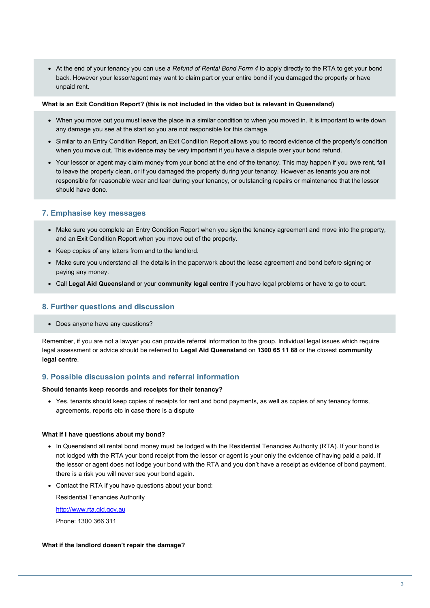At the end of your tenancy you can use a *Refund of Rental Bond Form 4* to apply directly to the RTA to get your bond back. However your lessor/agent may want to claim part or your entire bond if you damaged the property or have unpaid rent.

#### **What is an Exit Condition Report? (this is not included in the video but is relevant in Queensland)**

- When you move out you must leave the place in a similar condition to when you moved in. It is important to write down any damage you see at the start so you are not responsible for this damage.
- Similar to an Entry Condition Report, an Exit Condition Report allows you to record evidence of the property's condition when you move out. This evidence may be very important if you have a dispute over your bond refund.
- Your lessor or agent may claim money from your bond at the end of the tenancy. This may happen if you owe rent, fail to leave the property clean, or if you damaged the property during your tenancy. However as tenants you are not responsible for reasonable wear and tear during your tenancy, or outstanding repairs or maintenance that the lessor should have done.

# **7. Emphasise key messages**

- Make sure you complete an Entry Condition Report when you sign the tenancy agreement and move into the property, and an Exit Condition Report when you move out of the property.
- Keep copies of any letters from and to the landlord.
- Make sure you understand all the details in the paperwork about the lease agreement and bond before signing or paying any money.
- Call **Legal Aid Queensland** or your **community legal centre** if you have legal problems or have to go to court.

## **8. Further questions and discussion**

Does anyone have any questions?

Remember, if you are not a lawyer you can provide referral information to the group. Individual legal issues which require legal assessment or advice should be referred to **Legal Aid Queensland** on **1300 65 11 88** or the closest **community legal centre**.

# **9. Possible discussion points and referral information**

#### **Should tenants keep records and receipts for their tenancy?**

 Yes, tenants should keep copies of receipts for rent and bond payments, as well as copies of any tenancy forms, agreements, reports etc in case there is a dispute

#### **What if I have questions about my bond?**

- In Queensland all rental bond money must be lodged with the Residential Tenancies Authority (RTA). If your bond is not lodged with the RTA your bond receipt from the lessor or agent is your only the evidence of having paid a paid. If the lessor or agent does not lodge your bond with the RTA and you don't have a receipt as evidence of bond payment, there is a risk you will never see your bond again.
- Contact the RTA if you have questions about your bond:

Residential Tenancies Authority

http://www.rta.qld.gov.au

Phone: 1300 366 311

#### **What if the landlord doesn't repair the damage?**